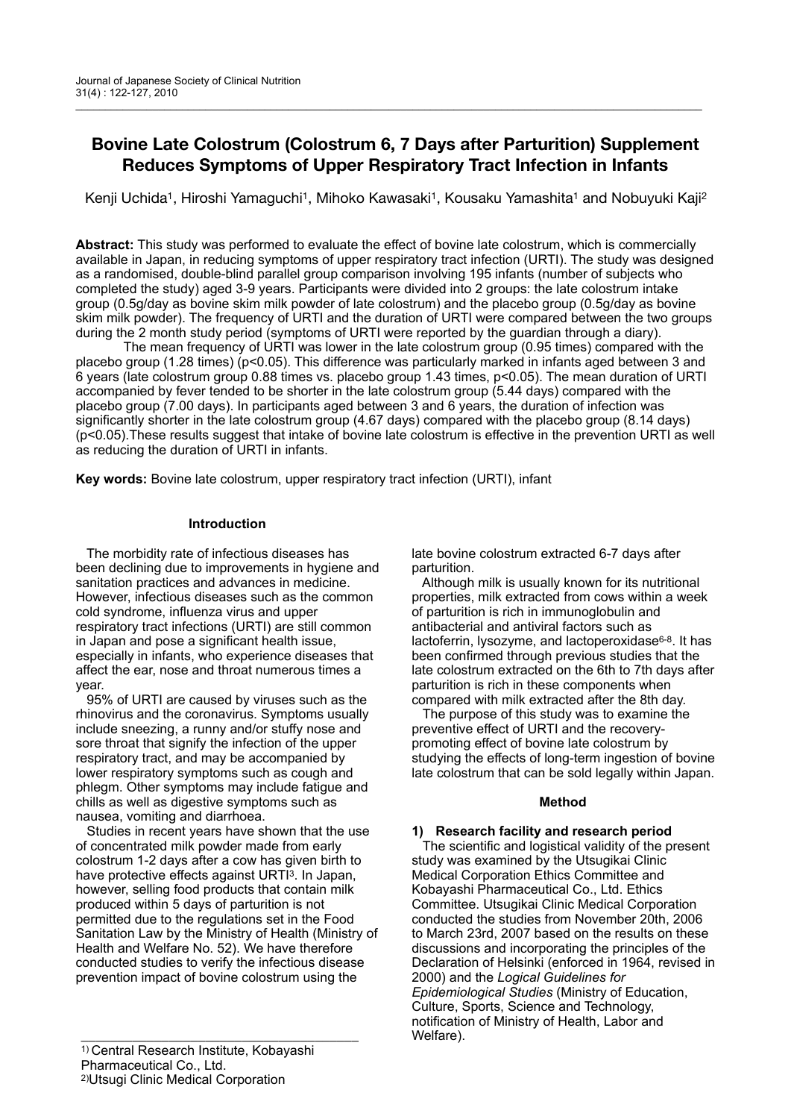# **Bovine Late Colostrum (Colostrum 6, 7 Days after Parturition) Supplement Reduces Symptoms of Upper Respiratory Tract Infection in Infants**

Kenji Uchida<sup>1</sup>, Hiroshi Yamaguchi<sup>1</sup>, Mihoko Kawasaki<sup>1</sup>, Kousaku Yamashita<sup>1</sup> and Nobuyuki Kaji<sup>2</sup>

**Abstract:** This study was performed to evaluate the effect of bovine late colostrum, which is commercially available in Japan, in reducing symptoms of upper respiratory tract infection (URTI). The study was designed as a randomised, double-blind parallel group comparison involving 195 infants (number of subjects who completed the study) aged 3-9 years. Participants were divided into 2 groups: the late colostrum intake group (0.5g/day as bovine skim milk powder of late colostrum) and the placebo group (0.5g/day as bovine skim milk powder). The frequency of URTI and the duration of URTI were compared between the two groups during the 2 month study period (symptoms of URTI were reported by the guardian through a diary).

 The mean frequency of URTI was lower in the late colostrum group (0.95 times) compared with the placebo group (1.28 times) (p<0.05). This difference was particularly marked in infants aged between 3 and 6 years (late colostrum group 0.88 times vs. placebo group 1.43 times, p<0.05). The mean duration of URTI accompanied by fever tended to be shorter in the late colostrum group (5.44 days) compared with the placebo group (7.00 days). In participants aged between 3 and 6 years, the duration of infection was significantly shorter in the late colostrum group (4.67 days) compared with the placebo group (8.14 days) (p<0.05).These results suggest that intake of bovine late colostrum is effective in the prevention URTI as well as reducing the duration of URTI in infants.

**Key words:** Bovine late colostrum, upper respiratory tract infection (URTI), infant

# **Introduction**

 The morbidity rate of infectious diseases has been declining due to improvements in hygiene and sanitation practices and advances in medicine. However, infectious diseases such as the common cold syndrome, influenza virus and upper respiratory tract infections (URTI) are still common in Japan and pose a significant health issue, especially in infants, who experience diseases that affect the ear, nose and throat numerous times a year.

 95% of URTI are caused by viruses such as the rhinovirus and the coronavirus. Symptoms usually include sneezing, a runny and/or stuffy nose and sore throat that signify the infection of the upper respiratory tract, and may be accompanied by lower respiratory symptoms such as cough and phlegm. Other symptoms may include fatigue and chills as well as digestive symptoms such as nausea, vomiting and diarrhoea.

 Studies in recent years have shown that the use of concentrated milk powder made from early colostrum 1-2 days after a cow has given birth to have protective effects against URTI<sup>3</sup>. In Japan, however, selling food products that contain milk produced within 5 days of parturition is not permitted due to the regulations set in the Food Sanitation Law by the Ministry of Health (Ministry of Health and Welfare No. 52). We have therefore conducted studies to verify the infectious disease prevention impact of bovine colostrum using the

1) Central Research Institute, Kobayashi Pharmaceutical Co., Ltd. 2)Utsugi Clinic Medical Corporation

late bovine colostrum extracted 6-7 days after parturition.

 Although milk is usually known for its nutritional properties, milk extracted from cows within a week of parturition is rich in immunoglobulin and antibacterial and antiviral factors such as lactoferrin, lysozyme, and lactoperoxidase<sup>6-8</sup>. It has been confirmed through previous studies that the late colostrum extracted on the 6th to 7th days after parturition is rich in these components when compared with milk extracted after the 8th day.

 The purpose of this study was to examine the preventive effect of URTI and the recoverypromoting effect of bovine late colostrum by studying the effects of long-term ingestion of bovine late colostrum that can be sold legally within Japan.

## **Method**

# **1) Research facility and research period**

The scientific and logistical validity of the present study was examined by the Utsugikai Clinic Medical Corporation Ethics Committee and Kobayashi Pharmaceutical Co., Ltd. Ethics Committee. Utsugikai Clinic Medical Corporation conducted the studies from November 20th, 2006 to March 23rd, 2007 based on the results on these discussions and incorporating the principles of the Declaration of Helsinki (enforced in 1964, revised in 2000) and the *Logical Guidelines for Epidemiological Studies* (Ministry of Education, Culture, Sports, Science and Technology, notification of Ministry of Health, Labor and Welfare).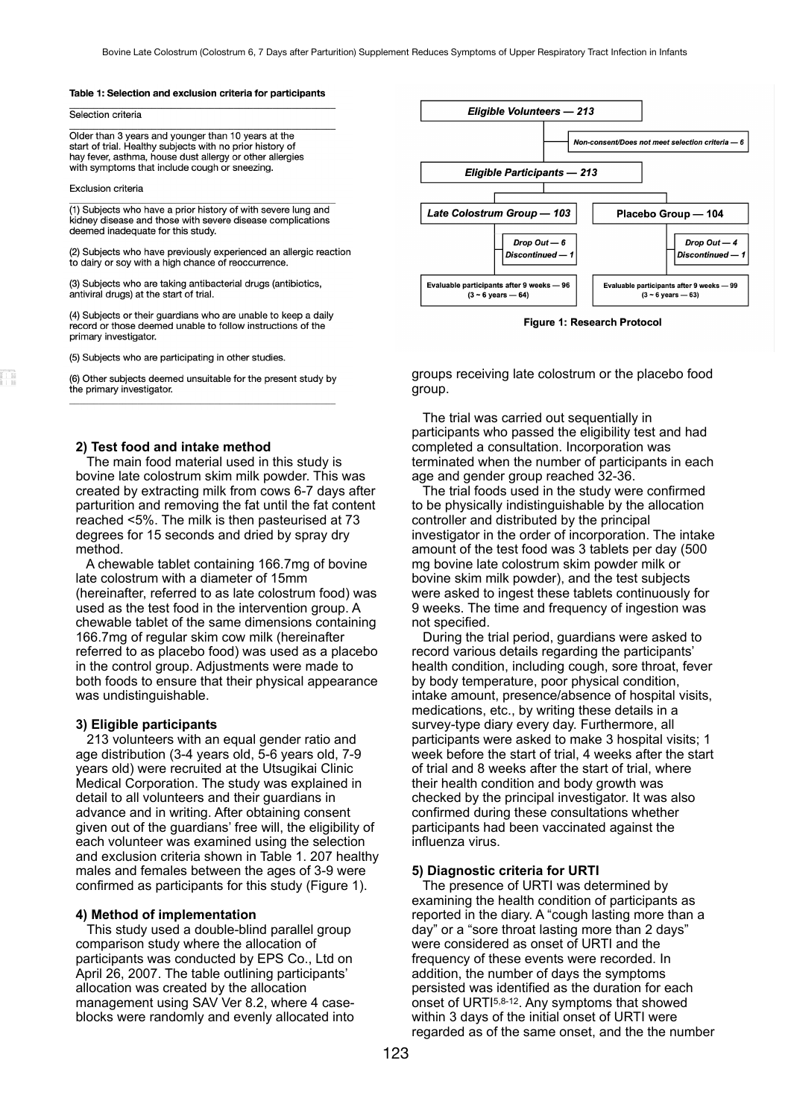#### Table 1: Selection and exclusion criteria for participants

#### Selection criteria

Older than 3 years and younger than 10 years at the start of trial. Healthy subjects with no prior history of hay fever, asthma, house dust allergy or other allergies with symptoms that include cough or sneezing.

#### Exclusion criteria

(1) Subjects who have a prior history of with severe lung and kidney disease and those with severe disease complications deemed inadequate for this study.

(2) Subjects who have previously experienced an allergic reaction to dairy or soy with a high chance of reoccurrence.

(3) Subjects who are taking antibacterial drugs (antibiotics, antiviral drugs) at the start of trial.

(4) Subjects or their guardians who are unable to keep a daily record or those deemed unable to follow instructions of the primary investigator.

(5) Subjects who are participating in other studies.

(6) Other subjects deemed unsuitable for the present study by the primary investigator.

### **2) Test food and intake method**

 The main food material used in this study is bovine late colostrum skim milk powder. This was created by extracting milk from cows 6-7 days after parturition and removing the fat until the fat content reached <5%. The milk is then pasteurised at 73 degrees for 15 seconds and dried by spray dry method.

 A chewable tablet containing 166.7mg of bovine late colostrum with a diameter of 15mm (hereinafter, referred to as late colostrum food) was used as the test food in the intervention group. A chewable tablet of the same dimensions containing 166.7mg of regular skim cow milk (hereinafter referred to as placebo food) was used as a placebo in the control group. Adjustments were made to both foods to ensure that their physical appearance was undistinguishable.

#### **3) Eligible participants**

 213 volunteers with an equal gender ratio and age distribution (3-4 years old, 5-6 years old, 7-9 years old) were recruited at the Utsugikai Clinic Medical Corporation. The study was explained in detail to all volunteers and their guardians in advance and in writing. After obtaining consent given out of the guardians' free will, the eligibility of each volunteer was examined using the selection and exclusion criteria shown in Table 1. 207 healthy males and females between the ages of 3-9 were confirmed as participants for this study (Figure 1).

#### **4) Method of implementation**

This study used a double-blind parallel group comparison study where the allocation of participants was conducted by EPS Co., Ltd on April 26, 2007. The table outlining participants' allocation was created by the allocation management using SAV Ver 8.2, where 4 caseblocks were randomly and evenly allocated into



Figure 1: Research Protocol

groups receiving late colostrum or the placebo food group.

 The trial was carried out sequentially in participants who passed the eligibility test and had completed a consultation. Incorporation was terminated when the number of participants in each age and gender group reached 32-36.

 The trial foods used in the study were confirmed to be physically indistinguishable by the allocation controller and distributed by the principal investigator in the order of incorporation. The intake amount of the test food was 3 tablets per day (500 mg bovine late colostrum skim powder milk or bovine skim milk powder), and the test subjects were asked to ingest these tablets continuously for 9 weeks. The time and frequency of ingestion was not specified.

 During the trial period, guardians were asked to record various details regarding the participants' health condition, including cough, sore throat, fever by body temperature, poor physical condition, intake amount, presence/absence of hospital visits, medications, etc., by writing these details in a survey-type diary every day. Furthermore, all participants were asked to make 3 hospital visits; 1 week before the start of trial, 4 weeks after the start of trial and 8 weeks after the start of trial, where their health condition and body growth was checked by the principal investigator. It was also confirmed during these consultations whether participants had been vaccinated against the influenza virus.

#### **5) Diagnostic criteria for URTI**

 The presence of URTI was determined by examining the health condition of participants as reported in the diary. A "cough lasting more than a day" or a "sore throat lasting more than 2 days" were considered as onset of URTI and the frequency of these events were recorded. In addition, the number of days the symptoms persisted was identified as the duration for each onset of URTI5,8-12. Any symptoms that showed within 3 days of the initial onset of URTI were regarded as of the same onset, and the the number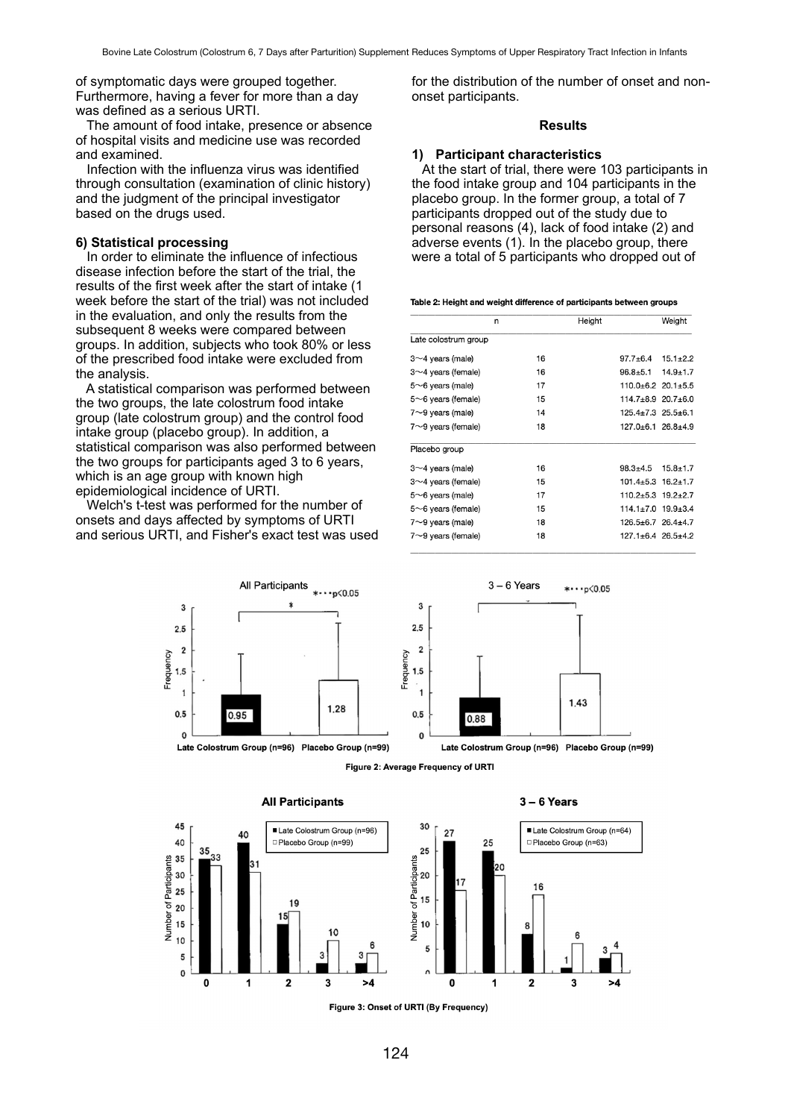of symptomatic days were grouped together. Furthermore, having a fever for more than a day was defined as a serious URTI.

 The amount of food intake, presence or absence of hospital visits and medicine use was recorded and examined.

 Infection with the influenza virus was identified through consultation (examination of clinic history) and the judgment of the principal investigator based on the drugs used.

### **6) Statistical processing**

 In order to eliminate the influence of infectious disease infection before the start of the trial, the results of the first week after the start of intake (1 week before the start of the trial) was not included in the evaluation, and only the results from the subsequent 8 weeks were compared between groups. In addition, subjects who took 80% or less of the prescribed food intake were excluded from the analysis.

 A statistical comparison was performed between the two groups, the late colostrum food intake group (late colostrum group) and the control food intake group (placebo group). In addition, a statistical comparison was also performed between the two groups for participants aged 3 to 6 years, which is an age group with known high epidemiological incidence of URTI.

 Welch's t-test was performed for the number of onsets and days affected by symptoms of URTI and serious URTI, and Fisher's exact test was used for the distribution of the number of onset and nononset participants.

### **Results**

### **1) Participant characteristics**

At the start of trial, there were 103 participants in the food intake group and 104 participants in the placebo group. In the former group, a total of 7 participants dropped out of the study due to personal reasons (4), lack of food intake (2) and adverse events (1). In the placebo group, there were a total of 5 participants who dropped out of

|  |  |  |  | Table 2: Height and weight difference of participants between groups |
|--|--|--|--|----------------------------------------------------------------------|
|--|--|--|--|----------------------------------------------------------------------|

|                           | n  | Height |                                | Weight       |
|---------------------------|----|--------|--------------------------------|--------------|
| Late colostrum group      |    |        |                                |              |
| $3\sim$ 4 years (male)    | 16 |        | $97.7 + 6.4$                   | $15.1 + 2.2$ |
| $3\sim$ 4 years (female)  | 16 |        | $96.8 + 5.1$                   | $14.9 + 1.7$ |
| $5~6$ years (male)        | 17 |        | $110.0 \pm 6.2$ 20.1 $\pm 5.5$ |              |
| $5~6$ years (female)      | 15 |        | $114.7 \pm 8.9$ 20.7 $\pm 6.0$ |              |
| $7{\sim}9$ years (male)   | 14 |        | $125.4 \pm 7.3$ $25.5 \pm 6.1$ |              |
| $7{\sim}9$ years (female) | 18 |        | $127.0 + 6.1$ $26.8 + 4.9$     |              |
| Placebo group             |    |        |                                |              |
| $3~1$ years (male)        | 16 |        | $98.3 + 4.5$                   | $15.8 + 1.7$ |
| $3\sim$ 4 years (female)  | 15 |        | $101.4 \pm 5.3$ $16.2 \pm 1.7$ |              |
| $5~6$ years (male)        | 17 |        | $110.2 \pm 5.3$ $19.2 \pm 2.7$ |              |
| $5~6$ years (female)      | 15 |        | $114.1 \pm 7.0$ 19.9 $\pm 3.4$ |              |
| $7{\sim}9$ years (male)   | 18 |        | $126.5 \pm 6.7$ 26.4 $\pm 4.7$ |              |
| $7{\sim}9$ years (female) | 18 |        | $127.1 \pm 6.4$ 26.5 $\pm 4.2$ |              |

 $* \cdots p\le 0.05$ 

1.43

 $3 - 6$  Years

0.88









#### $3 - 6$  Years

Late Colostrum Group (n=96) Placebo Group (n=99)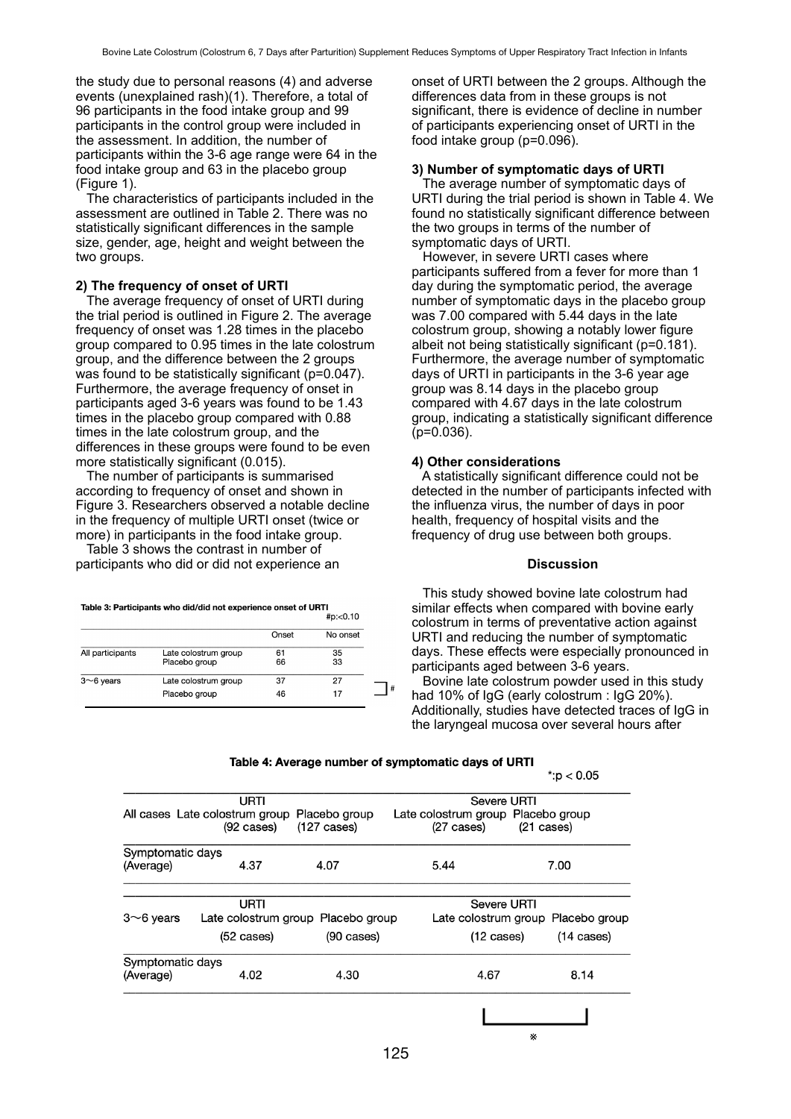the study due to personal reasons (4) and adverse events (unexplained rash)(1). Therefore, a total of 96 participants in the food intake group and 99 participants in the control group were included in the assessment. In addition, the number of participants within the 3-6 age range were 64 in the food intake group and 63 in the placebo group (Figure 1).

 The characteristics of participants included in the assessment are outlined in Table 2. There was no statistically significant differences in the sample size, gender, age, height and weight between the two groups.

### **2) The frequency of onset of URTI**

 The average frequency of onset of URTI during the trial period is outlined in Figure 2. The average frequency of onset was 1.28 times in the placebo group compared to 0.95 times in the late colostrum group, and the difference between the 2 groups was found to be statistically significant (p=0.047). Furthermore, the average frequency of onset in participants aged 3-6 years was found to be 1.43 times in the placebo group compared with 0.88 times in the late colostrum group, and the differences in these groups were found to be even more statistically significant (0.015).

 The number of participants is summarised according to frequency of onset and shown in Figure 3. Researchers observed a notable decline in the frequency of multiple URTI onset (twice or more) in participants in the food intake group.

 Table 3 shows the contrast in number of participants who did or did not experience an

Table 3: Participants who did/did not experience onset of URTI

|                  |                                       |          | HPL < U. 10 |  |
|------------------|---------------------------------------|----------|-------------|--|
|                  |                                       | Onset    | No onset    |  |
| All participants | Late colostrum group<br>Placebo group | 61<br>66 | 35<br>33    |  |
| $3~$ 6 years     | Late colostrum group<br>Placebo group | 37<br>46 | 27<br>17    |  |
|                  |                                       |          |             |  |

onset of URTI between the 2 groups. Although the differences data from in these groups is not significant, there is evidence of decline in number of participants experiencing onset of URTI in the food intake group (p=0.096).

### **3) Number of symptomatic days of URTI**

 The average number of symptomatic days of URTI during the trial period is shown in Table 4. We found no statistically significant difference between the two groups in terms of the number of symptomatic days of URTI.

 However, in severe URTI cases where participants suffered from a fever for more than 1 day during the symptomatic period, the average number of symptomatic days in the placebo group was 7.00 compared with 5.44 days in the late colostrum group, showing a notably lower figure albeit not being statistically significant (p=0.181). Furthermore, the average number of symptomatic days of URTI in participants in the 3-6 year age group was 8.14 days in the placebo group compared with 4.67 days in the late colostrum group, indicating a statistically significant difference  $(p=0.036)$ .

#### **4) Other considerations**

 A statistically significant difference could not be detected in the number of participants infected with the influenza virus, the number of days in poor health, frequency of hospital visits and the frequency of drug use between both groups.

# **Discussion**

 This study showed bovine late colostrum had similar effects when compared with bovine early colostrum in terms of preventative action against URTI and reducing the number of symptomatic days. These effects were especially pronounced in participants aged between 3-6 years.

 Bovine late colostrum powder used in this study had 10% of IgG (early colostrum : IgG 20%). Additionally, studies have detected traces of IgG in the laryngeal mucosa over several hours after

 $\sim$   $\sim$   $\sim$ 

|                       |                                                   |                                        |                                                            | ∵p < ∪.∪5                          |  |
|-----------------------|---------------------------------------------------|----------------------------------------|------------------------------------------------------------|------------------------------------|--|
| URTI                  |                                                   |                                        | Severe URTI                                                |                                    |  |
|                       | All cases Late colostrum group<br>$(92 \; cases)$ | Placebo group<br>$(127 \text{ cases})$ | Late colostrum group Placebo group<br>$(27 \text{ cases})$ | $(21 \text{ cases})$               |  |
|                       | Symptomatic days                                  |                                        |                                                            |                                    |  |
| (Average)             | 4.37                                              | 4.07                                   | 5.44                                                       | 7.00                               |  |
|                       | URTI                                              |                                        | Severe URTI                                                |                                    |  |
| $3\nthicksim 6$ years | Late colostrum group Placebo group                |                                        |                                                            | Late colostrum group Placebo group |  |
|                       | $(52 \; \text{cases})$                            | $(90 \text{ cases})$                   | $(12 \text{ cases})$                                       | $(14 \text{ cases})$               |  |
|                       | Symptomatic days                                  |                                        |                                                            |                                    |  |
| (Average)             | 4.02                                              | 4.30                                   | 4.67                                                       | 8.14                               |  |
|                       |                                                   |                                        |                                                            |                                    |  |
|                       |                                                   |                                        |                                                            | ×                                  |  |

Table 4: Average number of symptomatic days of URTI